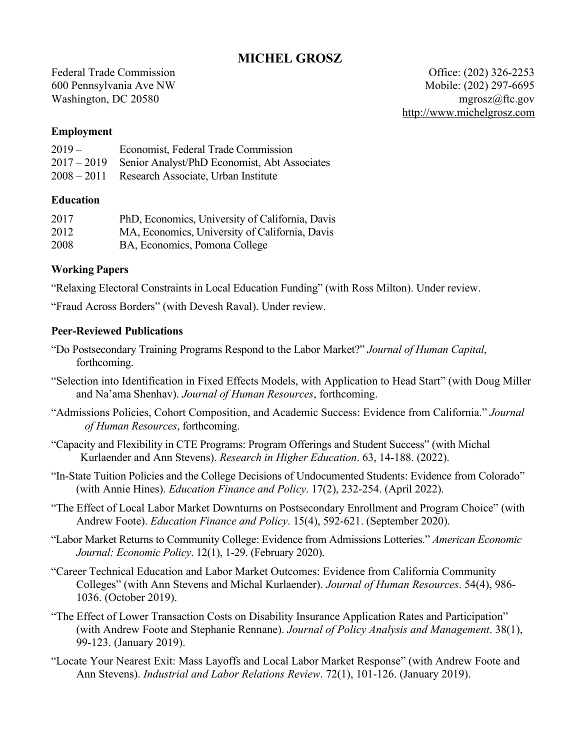# **MICHEL GROSZ**

Federal Trade Commission 600 Pennsylvania Ave NW Washington, DC 20580

Office: (202) 326-2253 Mobile: (202) 297-6695 mgrosz@ftc.gov [http://www.michelgrosz.com](http://michelgrosz.com/)

## **Employment**

| $2019-$ | Economist, Federal Trade Commission                      |
|---------|----------------------------------------------------------|
|         | 2017 – 2019 Senior Analyst/PhD Economist, Abt Associates |
|         | 2008 – 2011 Research Associate, Urban Institute          |

### **Education**

| 2017 | PhD, Economics, University of California, Davis |
|------|-------------------------------------------------|
| 2012 | MA, Economics, University of California, Davis  |
| 2008 | BA, Economics, Pomona College                   |

### **Working Papers**

"Relaxing Electoral Constraints in Local Education Funding" (with Ross Milton). Under review.

"Fraud Across Borders" (with Devesh Raval). Under review.

### **Peer-Reviewed Publications**

- "Do Postsecondary Training Programs Respond to the Labor Market?" *Journal of Human Capital*, forthcoming.
- "Selection into Identification in Fixed Effects Models, with Application to Head Start" (with Doug Miller and Na'ama Shenhav). *Journal of Human Resources*, forthcoming.
- "Admissions Policies, Cohort Composition, and Academic Success: Evidence from California." *Journal of Human Resources*, forthcoming.
- "Capacity and Flexibility in CTE Programs: Program Offerings and Student Success" (with Michal Kurlaender and Ann Stevens). *Research in Higher Education*. 63, 14-188. (2022).
- "In-State Tuition Policies and the College Decisions of Undocumented Students: Evidence from Colorado" (with Annie Hines). *Education Finance and Policy*. 17(2), 232-254. (April 2022).
- "The Effect of Local Labor Market Downturns on Postsecondary Enrollment and Program Choice" (with Andrew Foote). *Education Finance and Policy*. 15(4), 592-621. (September 2020).
- "Labor Market Returns to Community College: Evidence from Admissions Lotteries." *American Economic Journal: Economic Policy*. 12(1), 1-29. (February 2020).
- "Career Technical Education and Labor Market Outcomes: Evidence from California Community Colleges" (with Ann Stevens and Michal Kurlaender). *Journal of Human Resources*. 54(4), 986- 1036. (October 2019).
- "The Effect of Lower Transaction Costs on Disability Insurance Application Rates and Participation" (with Andrew Foote and Stephanie Rennane). *Journal of Policy Analysis and Management*. 38(1), 99-123. (January 2019).
- "Locate Your Nearest Exit: Mass Layoffs and Local Labor Market Response" (with Andrew Foote and Ann Stevens). *Industrial and Labor Relations Review*. 72(1), 101-126. (January 2019).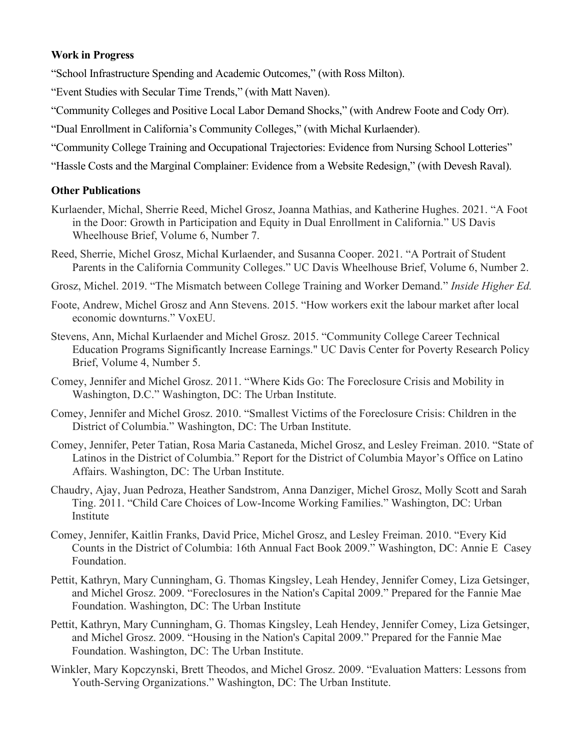## **Work in Progress**

"School Infrastructure Spending and Academic Outcomes," (with Ross Milton).

"Event Studies with Secular Time Trends," (with Matt Naven).

- "Community Colleges and Positive Local Labor Demand Shocks," (with Andrew Foote and Cody Orr).
- "Dual Enrollment in California's Community Colleges," (with Michal Kurlaender).
- "Community College Training and Occupational Trajectories: Evidence from Nursing School Lotteries"
- "Hassle Costs and the Marginal Complainer: Evidence from a Website Redesign," (with Devesh Raval).

### **Other Publications**

- Kurlaender, Michal, Sherrie Reed, Michel Grosz, Joanna Mathias, and Katherine Hughes. 2021. "A Foot in the Door: Growth in Participation and Equity in Dual Enrollment in California." US Davis Wheelhouse Brief, Volume 6, Number 7.
- Reed, Sherrie, Michel Grosz, Michal Kurlaender, and Susanna Cooper. 2021. "A Portrait of Student Parents in the California Community Colleges." UC Davis Wheelhouse Brief, Volume 6, Number 2.
- Grosz, Michel. 2019. "The Mismatch between College Training and Worker Demand." *Inside Higher Ed.*
- Foote, Andrew, Michel Grosz and Ann Stevens. 2015. "How workers exit the labour market after local economic downturns." VoxEU.
- Stevens, Ann, Michal Kurlaender and Michel Grosz. 2015. "Community College Career Technical Education Programs Significantly Increase Earnings." UC Davis Center for Poverty Research Policy Brief, Volume 4, Number 5.
- Comey, Jennifer and Michel Grosz. 2011. "Where Kids Go: The Foreclosure Crisis and Mobility in Washington, D.C." Washington, DC: The Urban Institute.
- Comey, Jennifer and Michel Grosz. 2010. "Smallest Victims of the Foreclosure Crisis: Children in the District of Columbia." Washington, DC: The Urban Institute.
- Comey, Jennifer, Peter Tatian, Rosa Maria Castaneda, Michel Grosz, and Lesley Freiman. 2010. "State of Latinos in the District of Columbia." Report for the District of Columbia Mayor's Office on Latino Affairs. Washington, DC: The Urban Institute.
- Chaudry, Ajay, Juan Pedroza, Heather Sandstrom, Anna Danziger, Michel Grosz, Molly Scott and Sarah Ting. 2011. "Child Care Choices of Low-Income Working Families." Washington, DC: Urban Institute
- Comey, Jennifer, Kaitlin Franks, David Price, Michel Grosz, and Lesley Freiman. 2010. "Every Kid Counts in the District of Columbia: 16th Annual Fact Book 2009." Washington, DC: Annie E Casey Foundation.
- Pettit, Kathryn, Mary Cunningham, G. Thomas Kingsley, Leah Hendey, Jennifer Comey, Liza Getsinger, and Michel Grosz. 2009. "Foreclosures in the Nation's Capital 2009." Prepared for the Fannie Mae Foundation. Washington, DC: The Urban Institute
- Pettit, Kathryn, Mary Cunningham, G. Thomas Kingsley, Leah Hendey, Jennifer Comey, Liza Getsinger, and Michel Grosz. 2009. "Housing in the Nation's Capital 2009." Prepared for the Fannie Mae Foundation. Washington, DC: The Urban Institute.
- Winkler, Mary Kopczynski, Brett Theodos, and Michel Grosz. 2009. "Evaluation Matters: Lessons from Youth-Serving Organizations." Washington, DC: The Urban Institute.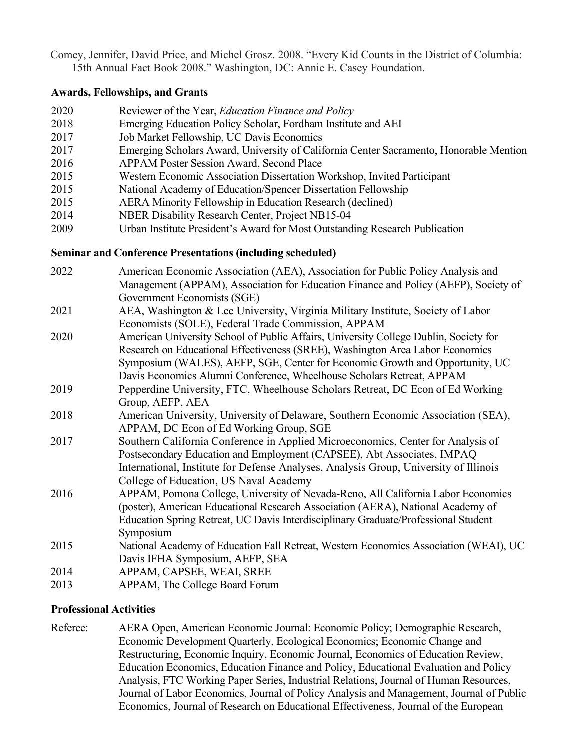Comey, Jennifer, David Price, and Michel Grosz. 2008. "Every Kid Counts in the District of Columbia: 15th Annual Fact Book 2008." Washington, DC: Annie E. Casey Foundation.

### **Awards, Fellowships, and Grants**

- 2020 Reviewer of the Year, *Education Finance and Policy*
- 2018 Emerging Education Policy Scholar, Fordham Institute and AEI
- 2017 Job Market Fellowship, UC Davis Economics
- 2017 Emerging Scholars Award, University of California Center Sacramento, Honorable Mention
- 2016 APPAM Poster Session Award, Second Place
- 2015 Western Economic Association Dissertation Workshop, Invited Participant
- 2015 National Academy of Education/Spencer Dissertation Fellowship
- 2015 AERA Minority Fellowship in Education Research (declined)
- 2014 NBER Disability Research Center, Project NB15-04
- 2009 Urban Institute President's Award for Most Outstanding Research Publication

### **Seminar and Conference Presentations (including scheduled)**

| American Economic Association (AEA), Association for Public Policy Analysis and       |
|---------------------------------------------------------------------------------------|
| Management (APPAM), Association for Education Finance and Policy (AEFP), Society of   |
|                                                                                       |
| AEA, Washington & Lee University, Virginia Military Institute, Society of Labor       |
| Economists (SOLE), Federal Trade Commission, APPAM                                    |
| American University School of Public Affairs, University College Dublin, Society for  |
| Research on Educational Effectiveness (SREE), Washington Area Labor Economics         |
| Symposium (WALES), AEFP, SGE, Center for Economic Growth and Opportunity, UC          |
| Davis Economics Alumni Conference, Wheelhouse Scholars Retreat, APPAM                 |
| Pepperdine University, FTC, Wheelhouse Scholars Retreat, DC Econ of Ed Working        |
|                                                                                       |
| American University, University of Delaware, Southern Economic Association (SEA),     |
|                                                                                       |
| Southern California Conference in Applied Microeconomics, Center for Analysis of      |
| Postsecondary Education and Employment (CAPSEE), Abt Associates, IMPAQ                |
| International, Institute for Defense Analyses, Analysis Group, University of Illinois |
|                                                                                       |
| APPAM, Pomona College, University of Nevada-Reno, All California Labor Economics      |
| (poster), American Educational Research Association (AERA), National Academy of       |
| Education Spring Retreat, UC Davis Interdisciplinary Graduate/Professional Student    |
|                                                                                       |
| National Academy of Education Fall Retreat, Western Economics Association (WEAI), UC  |
|                                                                                       |
|                                                                                       |
|                                                                                       |
|                                                                                       |

### **Professional Activities**

Referee: AERA Open, American Economic Journal: Economic Policy; Demographic Research, Economic Development Quarterly, Ecological Economics; Economic Change and Restructuring, Economic Inquiry, Economic Journal, Economics of Education Review, Education Economics, Education Finance and Policy, Educational Evaluation and Policy Analysis, FTC Working Paper Series, Industrial Relations, Journal of Human Resources, Journal of Labor Economics, Journal of Policy Analysis and Management, Journal of Public Economics, Journal of Research on Educational Effectiveness, Journal of the European